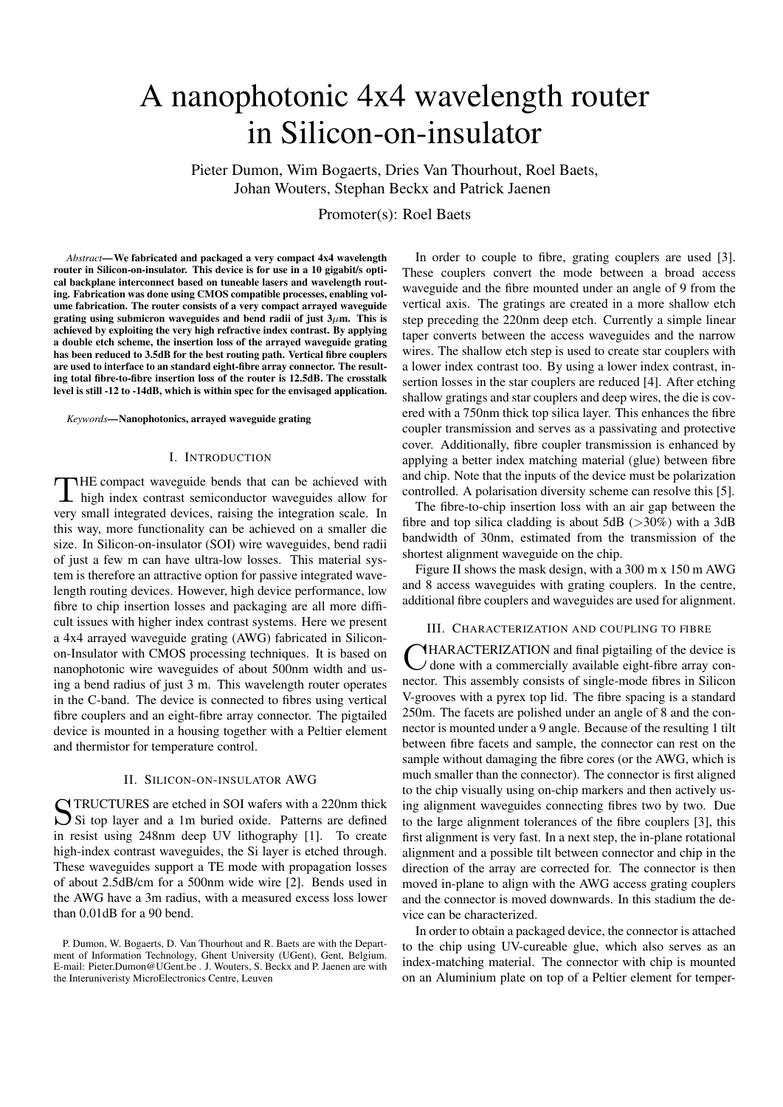# A nanophotonic 4x4 wavelength router in Silicon-on-insulator

Pieter Dumon, Wim Bogaerts, Dries Van Thourhout, Roel Baets, Johan Wouters, Stephan Beckx and Patrick Jaenen

Promoter(s): Roel Baets

*Abstract*—We fabricated and packaged a very compact 4x4 wavelength router in Silicon-on-insulator. This device is for use in a 10 gigabit/s optical backplane interconnect based on tuneable lasers and wavelength routing. Fabrication was done using CMOS compatible processes, enabling volume fabrication. The router consists of a very compact arrayed waveguide grating using submicron waveguides and bend radii of just  $3\mu$ m. This is achieved by exploiting the very high refractive index contrast. By applying a double etch scheme, the insertion loss of the arrayed waveguide grating has been reduced to 3.5dB for the best routing path. Vertical fibre couplers are used to interface to an standard eight-fibre array connector. The resulting total fibre-to-fibre insertion loss of the router is 12.5dB. The crosstalk level is still -12 to -14dB, which is within spec for the envisaged application.

*Keywords*—Nanophotonics, arrayed waveguide grating

## I. INTRODUCTION

THE compact waveguide bends that can be achieved with<br>high index contrast semiconductor waveguides allow for HE compact waveguide bends that can be achieved with very small integrated devices, raising the integration scale. In this way, more functionality can be achieved on a smaller die size. In Silicon-on-insulator (SOI) wire waveguides, bend radii of just a few m can have ultra-low losses. This material system is therefore an attractive option for passive integrated wavelength routing devices. However, high device performance, low fibre to chip insertion losses and packaging are all more difficult issues with higher index contrast systems. Here we present a 4x4 arrayed waveguide grating (AWG) fabricated in Siliconon-Insulator with CMOS processing techniques. It is based on nanophotonic wire waveguides of about 500nm width and using a bend radius of just 3 m. This wavelength router operates in the C-band. The device is connected to fibres using vertical fibre couplers and an eight-fibre array connector. The pigtailed device is mounted in a housing together with a Peltier element and thermistor for temperature control.

## II. SILICON-ON-INSULATOR AWG

STRUCTURES are etched in SOI wafers with a 220nm thick<br>Si top layer and a 1m buried oxide. Patterns are defined Si top layer and a 1m buried oxide. Patterns are defined in resist using 248nm deep UV lithography [1]. To create high-index contrast waveguides, the Si layer is etched through. These waveguides support a TE mode with propagation losses of about 2.5dB/cm for a 500nm wide wire [2]. Bends used in the AWG have a 3m radius, with a measured excess loss lower than 0.01dB for a 90 bend.

In order to couple to fibre, grating couplers are used [3]. These couplers convert the mode between a broad access waveguide and the fibre mounted under an angle of 9 from the vertical axis. The gratings are created in a more shallow etch step preceding the 220nm deep etch. Currently a simple linear taper converts between the access waveguides and the narrow wires. The shallow etch step is used to create star couplers with a lower index contrast too. By using a lower index contrast, insertion losses in the star couplers are reduced [4]. After etching shallow gratings and star couplers and deep wires, the die is covered with a 750nm thick top silica layer. This enhances the fibre coupler transmission and serves as a passivating and protective cover. Additionally, fibre coupler transmission is enhanced by applying a better index matching material (glue) between fibre and chip. Note that the inputs of the device must be polarization controlled. A polarisation diversity scheme can resolve this [5].

The fibre-to-chip insertion loss with an air gap between the fibre and top silica cladding is about 5dB ( $>30\%$ ) with a 3dB bandwidth of 30nm, estimated from the transmission of the shortest alignment waveguide on the chip.

Figure II shows the mask design, with a 300 m x 150 m AWG and 8 access waveguides with grating couplers. In the centre, additional fibre couplers and waveguides are used for alignment.

## III. CHARACTERIZATION AND COUPLING TO FIBRE

CHARACTERIZATION and final pigtailing of the device is<br>
C done with a commercially available eight-fibre array con- $\overline{d}$  done with a commercially available eight-fibre array connector. This assembly consists of single-mode fibres in Silicon V-grooves with a pyrex top lid. The fibre spacing is a standard 250m. The facets are polished under an angle of 8 and the connector is mounted under a 9 angle. Because of the resulting 1 tilt between fibre facets and sample, the connector can rest on the sample without damaging the fibre cores (or the AWG, which is much smaller than the connector). The connector is first aligned to the chip visually using on-chip markers and then actively using alignment waveguides connecting fibres two by two. Due to the large alignment tolerances of the fibre couplers [3], this first alignment is very fast. In a next step, the in-plane rotational alignment and a possible tilt between connector and chip in the direction of the array are corrected for. The connector is then moved in-plane to align with the AWG access grating couplers and the connector is moved downwards. In this stadium the device can be characterized.

In order to obtain a packaged device, the connector is attached to the chip using UV-cureable glue, which also serves as an index-matching material. The connector with chip is mounted on an Aluminium plate on top of a Peltier element for temper-

P. Dumon, W. Bogaerts, D. Van Thourhout and R. Baets are with the Department of Information Technology, Ghent University (UGent), Gent, Belgium. E-mail: Pieter.Dumon@UGent.be . J. Wouters, S. Beckx and P. Jaenen are with the Interuniveristy MicroElectronics Centre, Leuven